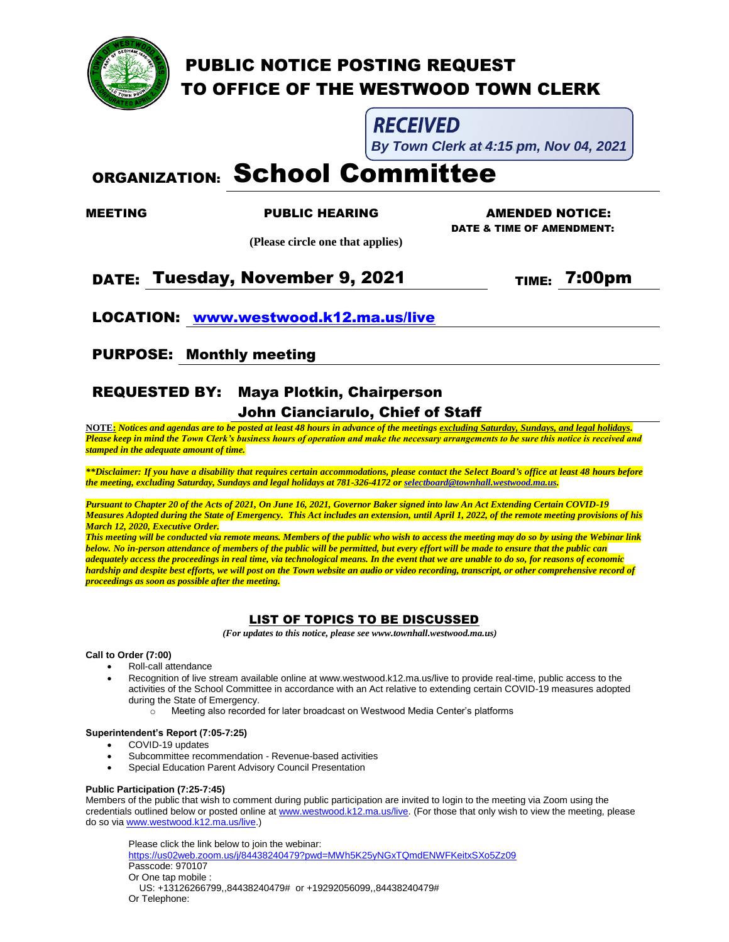

## PUBLIC NOTICE POSTING REQUEST TO OFFICE OF THE WESTWOOD TOWN CLERK

**RECEIVED** 

**By Town Clerk at 4:15 pm, Nov 04, 2021** 

# ORGANIZATION: School Committee

 **(Please circle one that applies)**

MEETING PUBLIC HEARING AMENDED NOTICE: DATE & TIME OF AMENDMENT:

### DATE: Tuesday, November 9, 2021 TIME: 7:00pm

LOCATION: [www.westwood.k12.ma.us/live](http://www.westwood.k12.ma.us/live)

PURPOSE: Monthly meeting

# REQUESTED BY: Maya Plotkin, Chairperson

### John Cianciarulo, Chief of Staff

**NOTE:** *Notices and agendas are to be posted at least 48 hours in advance of the meetings excluding Saturday, Sundays, and legal holidays. Please keep in mind the Town Clerk's business hours of operation and make the necessary arrangements to be sure this notice is received and stamped in the adequate amount of time.*

*\*\*Disclaimer: If you have a disability that requires certain accommodations, please contact the Select Board's office at least 48 hours before the meeting, excluding Saturday, Sundays and legal holidays at 781-326-4172 o[r selectboard@townhall.westwood.ma.us.](mailto:selectboard@townhall.westwood.ma.us)* 

*Pursuant to Chapter 20 of the Acts of 2021, On June 16, 2021, Governor Baker signed into law An Act Extending Certain COVID-19 Measures Adopted during the State of Emergency. This Act includes an extension, until April 1, 2022, of the remote meeting provisions of his March 12, 2020, Executive Order.*

*This meeting will be conducted via remote means. Members of the public who wish to access the meeting may do so by using the Webinar link below. No in-person attendance of members of the public will be permitted, but every effort will be made to ensure that the public can adequately access the proceedings in real time, via technological means. In the event that we are unable to do so, for reasons of economic hardship and despite best efforts, we will post on the Town website an audio or video recording, transcript, or other comprehensive record of proceedings as soon as possible after the meeting.*

#### LIST OF TOPICS TO BE DISCUSSED

 *(For updates to this notice, please see www.townhall.westwood.ma.us)*

#### **Call to Order (7:00)**

- Roll-call attendance
- Recognition of live stream available online at www.westwood.k12.ma.us/live to provide real-time, public access to the activities of the School Committee in accordance with an Act relative to extending certain COVID-19 measures adopted during the State of Emergency.
	- o Meeting also recorded for later broadcast on Westwood Media Center's platforms

#### **Superintendent's Report (7:05-7:25)**

- COVID-19 updates
- Subcommittee recommendation Revenue-based activities
- Special Education Parent Advisory Council Presentation

#### **Public Participation (7:25-7:45)**

Members of the public that wish to comment during public participation are invited to login to the meeting via Zoom using the credentials outlined below or posted online a[t www.westwood.k12.ma.us/live.](http://www.westwood.k12.ma.us/live) (For those that only wish to view the meeting, please do so vi[a www.westwood.k12.ma.us/live.](http://www.westwood.k12.ma.us/live))

Please click the link below to join the webinar:

<https://us02web.zoom.us/j/84438240479?pwd=MWh5K25yNGxTQmdENWFKeitxSXo5Zz09> Passcode: 970107 Or One tap mobile : US: +13126266799,,84438240479# or +19292056099,,84438240479#

Or Telephone: